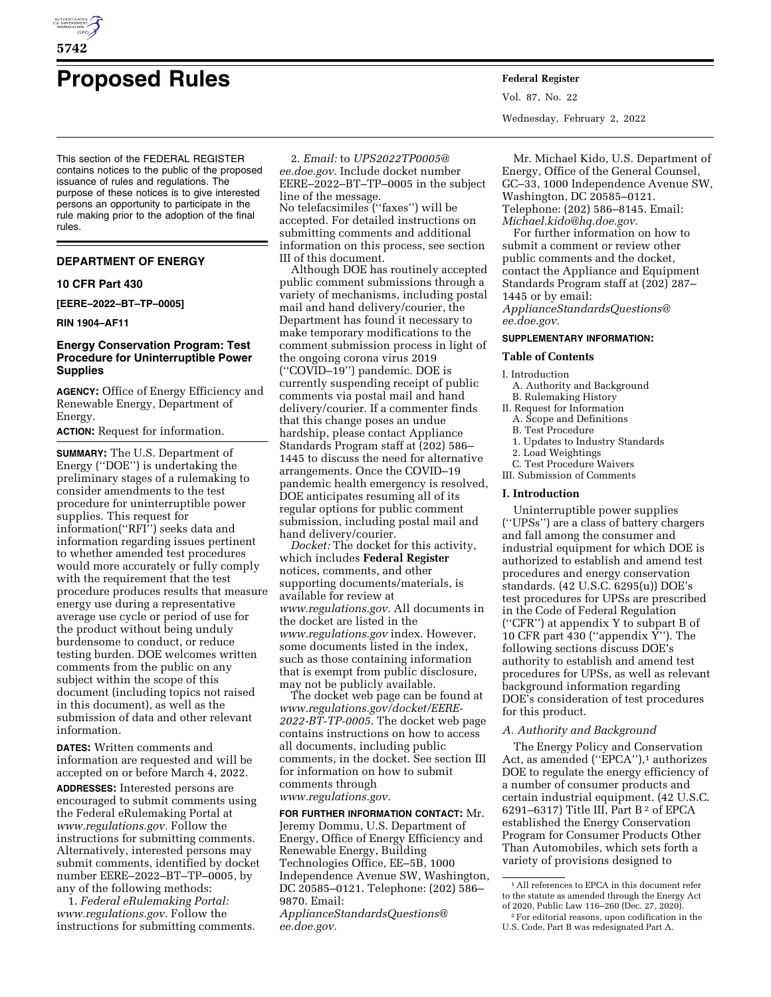

# **Proposed Rules Federal Register**

This section of the FEDERAL REGISTER contains notices to the public of the proposed issuance of rules and regulations. The purpose of these notices is to give interested persons an opportunity to participate in the rule making prior to the adoption of the final rules.

# **DEPARTMENT OF ENERGY**

#### **10 CFR Part 430**

**[EERE–2022–BT–TP–0005]** 

# **RIN 1904–AF11**

# **Energy Conservation Program: Test Procedure for Uninterruptible Power Supplies**

**AGENCY:** Office of Energy Efficiency and Renewable Energy, Department of Energy.

**ACTION:** Request for information.

**SUMMARY:** The U.S. Department of Energy (''DOE'') is undertaking the preliminary stages of a rulemaking to consider amendments to the test procedure for uninterruptible power supplies. This request for information(''RFI'') seeks data and information regarding issues pertinent to whether amended test procedures would more accurately or fully comply with the requirement that the test procedure produces results that measure energy use during a representative average use cycle or period of use for the product without being unduly burdensome to conduct, or reduce testing burden. DOE welcomes written comments from the public on any subject within the scope of this document (including topics not raised in this document), as well as the submission of data and other relevant information.

**DATES:** Written comments and information are requested and will be accepted on or before March 4, 2022.

**ADDRESSES:** Interested persons are encouraged to submit comments using the Federal eRulemaking Portal at *[www.regulations.gov.](http://www.regulations.gov)* Follow the instructions for submitting comments. Alternatively, interested persons may submit comments, identified by docket number EERE–2022–BT–TP–0005, by any of the following methods:

1. *Federal eRulemaking Portal: [www.regulations.gov.](http://www.regulations.gov)* Follow the instructions for submitting comments.

2. *Email:* to *[UPS2022TP0005@](mailto:UPS2022TP0005@ee.doe.gov) [ee.doe.gov.](mailto:UPS2022TP0005@ee.doe.gov)* Include docket number EERE–2022–BT–TP–0005 in the subject line of the message. No telefacsimiles (''faxes'') will be accepted. For detailed instructions on submitting comments and additional information on this process, see section III of this document.

Although DOE has routinely accepted public comment submissions through a variety of mechanisms, including postal mail and hand delivery/courier, the Department has found it necessary to make temporary modifications to the comment submission process in light of the ongoing corona virus 2019 (''COVID–19'') pandemic. DOE is currently suspending receipt of public comments via postal mail and hand delivery/courier. If a commenter finds that this change poses an undue hardship, please contact Appliance Standards Program staff at (202) 586– 1445 to discuss the need for alternative arrangements. Once the COVID–19 pandemic health emergency is resolved, DOE anticipates resuming all of its regular options for public comment submission, including postal mail and hand delivery/courier.

*Docket:* The docket for this activity, which includes **Federal Register**  notices, comments, and other supporting documents/materials, is available for review at *[www.regulations.gov.](http://www.regulations.gov)* All documents in the docket are listed in the *[www.regulations.gov](http://www.regulations.gov)* index. However, some documents listed in the index, such as those containing information that is exempt from public disclosure, may not be publicly available.

The docket web page can be found at *[www.regulations.gov/docket/EERE-](http://www.regulations.gov/docket/EERE-2022-BT-TP-0005)[2022-BT-TP-0005.](http://www.regulations.gov/docket/EERE-2022-BT-TP-0005)* The docket web page contains instructions on how to access all documents, including public comments, in the docket. See section III for information on how to submit comments through *[www.regulations.gov.](http://www.regulations.gov)* 

#### **FOR FURTHER INFORMATION CONTACT:** Mr.

Jeremy Dommu, U.S. Department of Energy, Office of Energy Efficiency and Renewable Energy, Building Technologies Office, EE–5B, 1000 Independence Avenue SW, Washington, DC 20585–0121. Telephone: (202) 586– 9870. Email: *[ApplianceStandardsQuestions@](mailto:ApplianceStandardsQuestions@ee.doe.gov) [ee.doe.gov.](mailto:ApplianceStandardsQuestions@ee.doe.gov)* 

Vol. 87, No. 22 Wednesday, February 2, 2022

Mr. Michael Kido, U.S. Department of Energy, Office of the General Counsel, GC–33, 1000 Independence Avenue SW, Washington, DC 20585–0121. Telephone: (202) 586–8145. Email: *[Michael.kido@hq.doe.gov.](mailto:Michael.kido@hq.doe.gov)* 

For further information on how to submit a comment or review other public comments and the docket, contact the Appliance and Equipment Standards Program staff at (202) 287– 1445 or by email: *[ApplianceStandardsQuestions@](mailto:ApplianceStandardsQuestions@ee.doe.gov) [ee.doe.gov.](mailto:ApplianceStandardsQuestions@ee.doe.gov)* 

#### **SUPPLEMENTARY INFORMATION:**

### **Table of Contents**

I. Introduction

- A. Authority and Background
- B. Rulemaking History
- II. Request for Information A. Scope and Definitions
	-
	- B. Test Procedure
	- 1. Updates to Industry Standards
- 2. Load Weightings

C. Test Procedure Waivers III. Submission of Comments

#### **I. Introduction**

Uninterruptible power supplies (''UPSs'') are a class of battery chargers and fall among the consumer and industrial equipment for which DOE is authorized to establish and amend test procedures and energy conservation standards. (42 U.S.C. 6295(u)) DOE's test procedures for UPSs are prescribed in the Code of Federal Regulation (''CFR'') at appendix Y to subpart B of 10 CFR part  $430$  ("appendix  $\bar{Y}$ "). The following sections discuss DOE's authority to establish and amend test procedures for UPSs, as well as relevant background information regarding DOE's consideration of test procedures for this product.

# *A. Authority and Background*

The Energy Policy and Conservation Act, as amended ("EPCA"),<sup>1</sup> authorizes DOE to regulate the energy efficiency of a number of consumer products and certain industrial equipment. (42 U.S.C. 6291–6317) Title III, Part B 2 of EPCA established the Energy Conservation Program for Consumer Products Other Than Automobiles, which sets forth a variety of provisions designed to

<sup>1</sup>All references to EPCA in this document refer to the statute as amended through the Energy Act of 2020, Public Law 116–260 (Dec. 27, 2020).

<sup>2</sup>For editorial reasons, upon codification in the U.S. Code, Part B was redesignated Part A.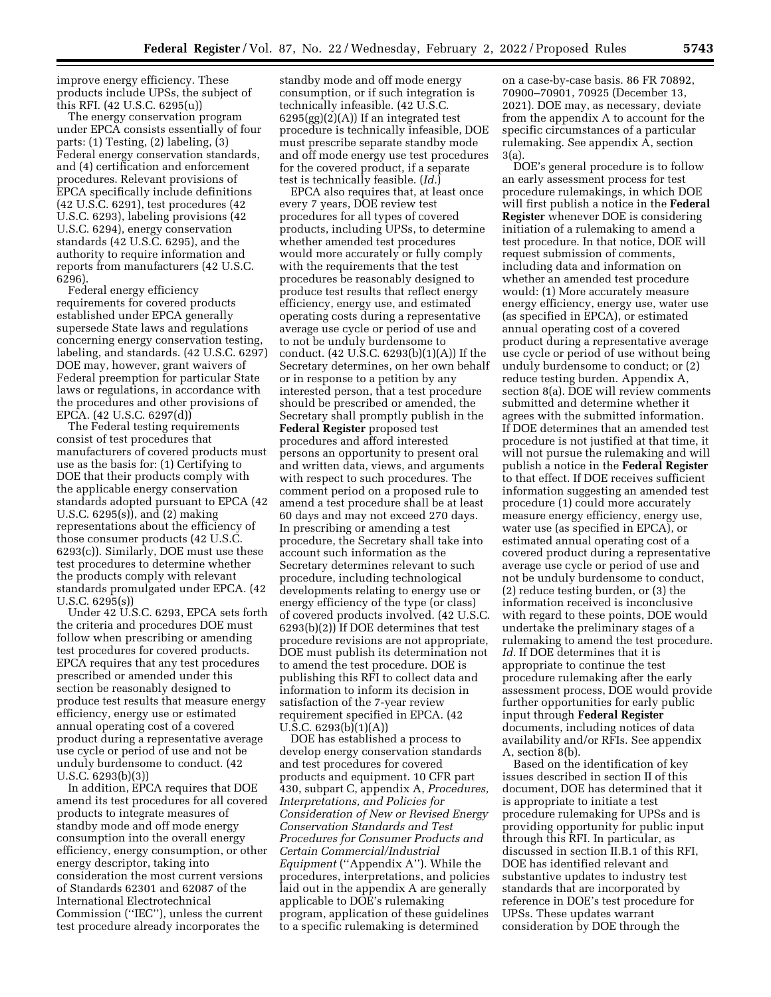improve energy efficiency. These products include UPSs, the subject of this RFI. (42 U.S.C. 6295(u))

The energy conservation program under EPCA consists essentially of four parts: (1) Testing, (2) labeling, (3) Federal energy conservation standards, and (4) certification and enforcement procedures. Relevant provisions of EPCA specifically include definitions (42 U.S.C. 6291), test procedures (42 U.S.C. 6293), labeling provisions (42 U.S.C. 6294), energy conservation standards (42 U.S.C. 6295), and the authority to require information and reports from manufacturers (42 U.S.C. 6296).

Federal energy efficiency requirements for covered products established under EPCA generally supersede State laws and regulations concerning energy conservation testing, labeling, and standards. (42 U.S.C. 6297) DOE may, however, grant waivers of Federal preemption for particular State laws or regulations, in accordance with the procedures and other provisions of EPCA. (42 U.S.C. 6297(d))

The Federal testing requirements consist of test procedures that manufacturers of covered products must use as the basis for: (1) Certifying to DOE that their products comply with the applicable energy conservation standards adopted pursuant to EPCA (42 U.S.C. 6295(s)), and (2) making representations about the efficiency of those consumer products (42 U.S.C. 6293(c)). Similarly, DOE must use these test procedures to determine whether the products comply with relevant standards promulgated under EPCA. (42 U.S.C. 6295(s))

Under 42 U.S.C. 6293, EPCA sets forth the criteria and procedures DOE must follow when prescribing or amending test procedures for covered products. EPCA requires that any test procedures prescribed or amended under this section be reasonably designed to produce test results that measure energy efficiency, energy use or estimated annual operating cost of a covered product during a representative average use cycle or period of use and not be unduly burdensome to conduct. (42 U.S.C. 6293(b)(3))

In addition, EPCA requires that DOE amend its test procedures for all covered products to integrate measures of standby mode and off mode energy consumption into the overall energy efficiency, energy consumption, or other energy descriptor, taking into consideration the most current versions of Standards 62301 and 62087 of the International Electrotechnical Commission (''IEC''), unless the current test procedure already incorporates the

standby mode and off mode energy consumption, or if such integration is technically infeasible. (42 U.S.C.  $6295(gg)(2)(A)$  If an integrated test procedure is technically infeasible, DOE must prescribe separate standby mode and off mode energy use test procedures for the covered product, if a separate test is technically feasible. (*Id.*)

EPCA also requires that, at least once every 7 years, DOE review test procedures for all types of covered products, including UPSs, to determine whether amended test procedures would more accurately or fully comply with the requirements that the test procedures be reasonably designed to produce test results that reflect energy efficiency, energy use, and estimated operating costs during a representative average use cycle or period of use and to not be unduly burdensome to conduct. (42 U.S.C. 6293(b)(1)(A)) If the Secretary determines, on her own behalf or in response to a petition by any interested person, that a test procedure should be prescribed or amended, the Secretary shall promptly publish in the **Federal Register** proposed test procedures and afford interested persons an opportunity to present oral and written data, views, and arguments with respect to such procedures. The comment period on a proposed rule to amend a test procedure shall be at least 60 days and may not exceed 270 days. In prescribing or amending a test procedure, the Secretary shall take into account such information as the Secretary determines relevant to such procedure, including technological developments relating to energy use or energy efficiency of the type (or class) of covered products involved. (42 U.S.C. 6293(b)(2)) If DOE determines that test procedure revisions are not appropriate, DOE must publish its determination not to amend the test procedure. DOE is publishing this RFI to collect data and information to inform its decision in satisfaction of the 7-year review requirement specified in EPCA. (42 U.S.C. 6293(b)(1)(A))

DOE has established a process to develop energy conservation standards and test procedures for covered products and equipment. 10 CFR part 430, subpart C, appendix A, *Procedures, Interpretations, and Policies for Consideration of New or Revised Energy Conservation Standards and Test Procedures for Consumer Products and Certain Commercial/Industrial Equipment* (''Appendix A''). While the procedures, interpretations, and policies laid out in the appendix A are generally applicable to DOE's rulemaking program, application of these guidelines to a specific rulemaking is determined

on a case-by-case basis. 86 FR 70892, 70900–70901, 70925 (December 13, 2021). DOE may, as necessary, deviate from the appendix A to account for the specific circumstances of a particular rulemaking. See appendix A, section 3(a).

DOE's general procedure is to follow an early assessment process for test procedure rulemakings, in which DOE will first publish a notice in the **Federal Register** whenever DOE is considering initiation of a rulemaking to amend a test procedure. In that notice, DOE will request submission of comments, including data and information on whether an amended test procedure would: (1) More accurately measure energy efficiency, energy use, water use (as specified in EPCA), or estimated annual operating cost of a covered product during a representative average use cycle or period of use without being unduly burdensome to conduct; or (2) reduce testing burden. Appendix A, section 8(a). DOE will review comments submitted and determine whether it agrees with the submitted information. If DOE determines that an amended test procedure is not justified at that time, it will not pursue the rulemaking and will publish a notice in the **Federal Register**  to that effect. If DOE receives sufficient information suggesting an amended test procedure (1) could more accurately measure energy efficiency, energy use, water use (as specified in EPCA), or estimated annual operating cost of a covered product during a representative average use cycle or period of use and not be unduly burdensome to conduct, (2) reduce testing burden, or (3) the information received is inconclusive with regard to these points, DOE would undertake the preliminary stages of a rulemaking to amend the test procedure. *Id.* If DOE determines that it is appropriate to continue the test procedure rulemaking after the early assessment process, DOE would provide further opportunities for early public input through **Federal Register**  documents, including notices of data availability and/or RFIs. See appendix A, section 8(b).

Based on the identification of key issues described in section II of this document, DOE has determined that it is appropriate to initiate a test procedure rulemaking for UPSs and is providing opportunity for public input through this RFI. In particular, as discussed in section II.B.1 of this RFI, DOE has identified relevant and substantive updates to industry test standards that are incorporated by reference in DOE's test procedure for UPSs. These updates warrant consideration by DOE through the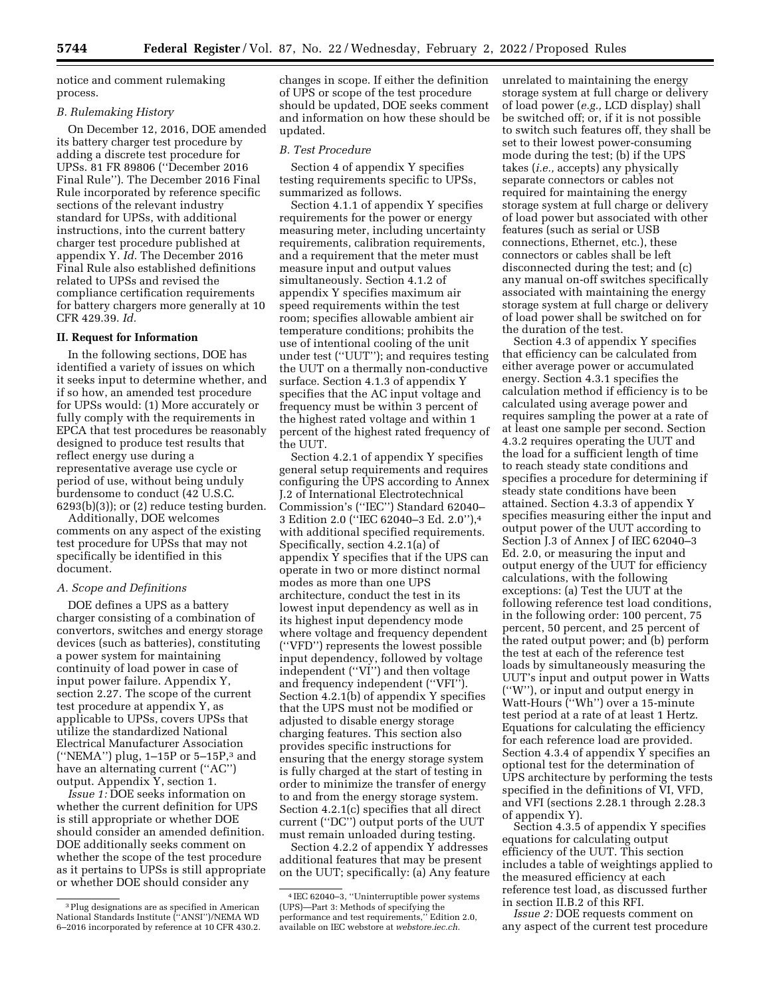notice and comment rulemaking process.

#### *B. Rulemaking History*

On December 12, 2016, DOE amended its battery charger test procedure by adding a discrete test procedure for UPSs. 81 FR 89806 (''December 2016 Final Rule''). The December 2016 Final Rule incorporated by reference specific sections of the relevant industry standard for UPSs, with additional instructions, into the current battery charger test procedure published at appendix Y. *Id.* The December 2016 Final Rule also established definitions related to UPSs and revised the compliance certification requirements for battery chargers more generally at 10 CFR 429.39. *Id.* 

# **II. Request for Information**

In the following sections, DOE has identified a variety of issues on which it seeks input to determine whether, and if so how, an amended test procedure for UPSs would: (1) More accurately or fully comply with the requirements in EPCA that test procedures be reasonably designed to produce test results that reflect energy use during a representative average use cycle or period of use, without being unduly burdensome to conduct (42 U.S.C.  $6293(b)(3)$ ; or  $(2)$  reduce testing burden.

Additionally, DOE welcomes comments on any aspect of the existing test procedure for UPSs that may not specifically be identified in this document.

# *A. Scope and Definitions*

DOE defines a UPS as a battery charger consisting of a combination of convertors, switches and energy storage devices (such as batteries), constituting a power system for maintaining continuity of load power in case of input power failure. Appendix Y, section 2.27. The scope of the current test procedure at appendix Y, as applicable to UPSs, covers UPSs that utilize the standardized National Electrical Manufacturer Association (''NEMA'') plug, 1–15P or 5–15P,3 and have an alternating current (''AC'') output. Appendix Y, section 1.

*Issue 1:* DOE seeks information on whether the current definition for UPS is still appropriate or whether DOE should consider an amended definition. DOE additionally seeks comment on whether the scope of the test procedure as it pertains to UPSs is still appropriate or whether DOE should consider any

changes in scope. If either the definition of UPS or scope of the test procedure should be updated, DOE seeks comment and information on how these should be updated.

#### *B. Test Procedure*

Section 4 of appendix Y specifies testing requirements specific to UPSs, summarized as follows.

Section 4.1.1 of appendix Y specifies requirements for the power or energy measuring meter, including uncertainty requirements, calibration requirements, and a requirement that the meter must measure input and output values simultaneously. Section 4.1.2 of appendix Y specifies maximum air speed requirements within the test room; specifies allowable ambient air temperature conditions; prohibits the use of intentional cooling of the unit under test (''UUT''); and requires testing the UUT on a thermally non-conductive surface. Section 4.1.3 of appendix Y specifies that the AC input voltage and frequency must be within 3 percent of the highest rated voltage and within 1 percent of the highest rated frequency of the UUT.

Section 4.2.1 of appendix Y specifies general setup requirements and requires configuring the UPS according to Annex J.2 of International Electrotechnical Commission's (''IEC'') Standard 62040– 3 Edition 2.0 (''IEC 62040–3 Ed. 2.0''),4 with additional specified requirements. Specifically, section 4.2.1(a) of appendix Y specifies that if the UPS can operate in two or more distinct normal modes as more than one UPS architecture, conduct the test in its lowest input dependency as well as in its highest input dependency mode where voltage and frequency dependent (''VFD'') represents the lowest possible input dependency, followed by voltage independent (''VI'') and then voltage and frequency independent (''VFI''). Section 4.2.1(b) of appendix Y specifies that the UPS must not be modified or adjusted to disable energy storage charging features. This section also provides specific instructions for ensuring that the energy storage system is fully charged at the start of testing in order to minimize the transfer of energy to and from the energy storage system. Section 4.2.1(c) specifies that all direct current (''DC'') output ports of the UUT must remain unloaded during testing.

Section 4.2.2 of appendix Y addresses additional features that may be present on the UUT; specifically: (a) Any feature

unrelated to maintaining the energy storage system at full charge or delivery of load power (*e.g.,* LCD display) shall be switched off; or, if it is not possible to switch such features off, they shall be set to their lowest power-consuming mode during the test; (b) if the UPS takes (*i.e.,* accepts) any physically separate connectors or cables not required for maintaining the energy storage system at full charge or delivery of load power but associated with other features (such as serial or USB connections, Ethernet, etc.), these connectors or cables shall be left disconnected during the test; and (c) any manual on-off switches specifically associated with maintaining the energy storage system at full charge or delivery of load power shall be switched on for the duration of the test.

Section 4.3 of appendix Y specifies that efficiency can be calculated from either average power or accumulated energy. Section 4.3.1 specifies the calculation method if efficiency is to be calculated using average power and requires sampling the power at a rate of at least one sample per second. Section 4.3.2 requires operating the UUT and the load for a sufficient length of time to reach steady state conditions and specifies a procedure for determining if steady state conditions have been attained. Section 4.3.3 of appendix Y specifies measuring either the input and output power of the UUT according to Section J.3 of Annex J of IEC 62040–3 Ed. 2.0, or measuring the input and output energy of the UUT for efficiency calculations, with the following exceptions: (a) Test the UUT at the following reference test load conditions, in the following order: 100 percent, 75 percent, 50 percent, and 25 percent of the rated output power; and (b) perform the test at each of the reference test loads by simultaneously measuring the UUT's input and output power in Watts (''W''), or input and output energy in Watt-Hours (''Wh'') over a 15-minute test period at a rate of at least 1 Hertz. Equations for calculating the efficiency for each reference load are provided. Section 4.3.4 of appendix Y specifies an optional test for the determination of UPS architecture by performing the tests specified in the definitions of VI, VFD, and VFI (sections 2.28.1 through 2.28.3 of appendix Y).

Section 4.3.5 of appendix Y specifies equations for calculating output efficiency of the UUT. This section includes a table of weightings applied to the measured efficiency at each reference test load, as discussed further in section II.B.2 of this RFI.

*Issue 2:* DOE requests comment on any aspect of the current test procedure

<sup>3</sup>Plug designations are as specified in American National Standards Institute (''ANSI'')/NEMA WD 6–2016 incorporated by reference at 10 CFR 430.2.

<sup>4</sup> IEC 62040–3, ''Uninterruptible power systems (UPS)—Part 3: Methods of specifying the performance and test requirements,'' Edition 2.0, available on IEC webstore at *webstore.iec.ch.*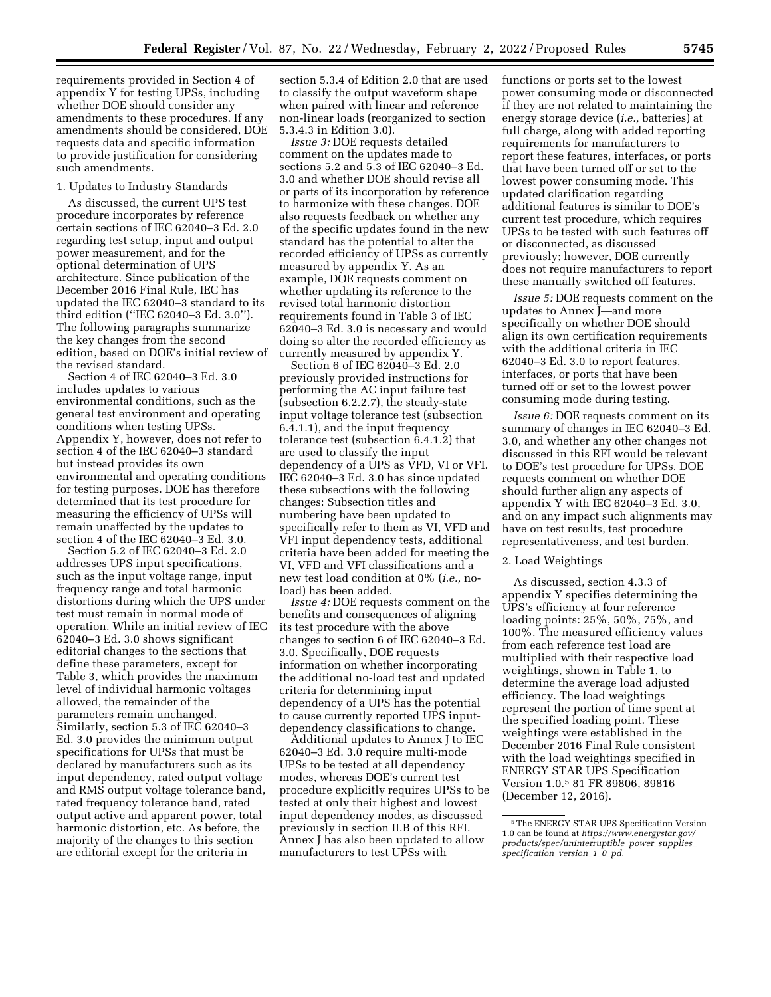requirements provided in Section 4 of appendix Y for testing UPSs, including whether DOE should consider any amendments to these procedures. If any amendments should be considered, DOE requests data and specific information to provide justification for considering such amendments.

#### 1. Updates to Industry Standards

As discussed, the current UPS test procedure incorporates by reference certain sections of IEC 62040–3 Ed. 2.0 regarding test setup, input and output power measurement, and for the optional determination of UPS architecture. Since publication of the December 2016 Final Rule, IEC has updated the IEC 62040–3 standard to its third edition (''IEC 62040–3 Ed. 3.0''). The following paragraphs summarize the key changes from the second edition, based on DOE's initial review of the revised standard.

Section 4 of IEC 62040–3 Ed. 3.0 includes updates to various environmental conditions, such as the general test environment and operating conditions when testing UPSs. Appendix Y, however, does not refer to section 4 of the IEC 62040–3 standard but instead provides its own environmental and operating conditions for testing purposes. DOE has therefore determined that its test procedure for measuring the efficiency of UPSs will remain unaffected by the updates to section 4 of the IEC 62040–3 Ed. 3.0.

Section 5.2 of IEC 62040–3 Ed. 2.0 addresses UPS input specifications, such as the input voltage range, input frequency range and total harmonic distortions during which the UPS under test must remain in normal mode of operation. While an initial review of IEC 62040–3 Ed. 3.0 shows significant editorial changes to the sections that define these parameters, except for Table 3, which provides the maximum level of individual harmonic voltages allowed, the remainder of the parameters remain unchanged. Similarly, section 5.3 of IEC 62040–3 Ed. 3.0 provides the minimum output specifications for UPSs that must be declared by manufacturers such as its input dependency, rated output voltage and RMS output voltage tolerance band, rated frequency tolerance band, rated output active and apparent power, total harmonic distortion, etc. As before, the majority of the changes to this section are editorial except for the criteria in

section 5.3.4 of Edition 2.0 that are used to classify the output waveform shape when paired with linear and reference non-linear loads (reorganized to section 5.3.4.3 in Edition 3.0).

*Issue 3:* DOE requests detailed comment on the updates made to sections 5.2 and 5.3 of IEC 62040–3 Ed. 3.0 and whether DOE should revise all or parts of its incorporation by reference to harmonize with these changes. DOE also requests feedback on whether any of the specific updates found in the new standard has the potential to alter the recorded efficiency of UPSs as currently measured by appendix Y. As an example, DOE requests comment on whether updating its reference to the revised total harmonic distortion requirements found in Table 3 of IEC 62040–3 Ed. 3.0 is necessary and would doing so alter the recorded efficiency as currently measured by appendix Y.

Section 6 of IEC 62040–3 Ed. 2.0 previously provided instructions for performing the AC input failure test (subsection 6.2.2.7), the steady-state input voltage tolerance test (subsection 6.4.1.1), and the input frequency tolerance test (subsection 6.4.1.2) that are used to classify the input dependency of a UPS as VFD, VI or VFI. IEC 62040–3 Ed. 3.0 has since updated these subsections with the following changes: Subsection titles and numbering have been updated to specifically refer to them as VI, VFD and VFI input dependency tests, additional criteria have been added for meeting the VI, VFD and VFI classifications and a new test load condition at 0% (*i.e.,* noload) has been added.

*Issue 4:* DOE requests comment on the benefits and consequences of aligning its test procedure with the above changes to section 6 of IEC 62040–3 Ed. 3.0. Specifically, DOE requests information on whether incorporating the additional no-load test and updated criteria for determining input dependency of a UPS has the potential to cause currently reported UPS inputdependency classifications to change.

Additional updates to Annex J to IEC 62040–3 Ed. 3.0 require multi-mode UPSs to be tested at all dependency modes, whereas DOE's current test procedure explicitly requires UPSs to be tested at only their highest and lowest input dependency modes, as discussed previously in section II.B of this RFI. Annex J has also been updated to allow manufacturers to test UPSs with

functions or ports set to the lowest power consuming mode or disconnected if they are not related to maintaining the energy storage device (*i.e.,* batteries) at full charge, along with added reporting requirements for manufacturers to report these features, interfaces, or ports that have been turned off or set to the lowest power consuming mode. This updated clarification regarding additional features is similar to DOE's current test procedure, which requires UPSs to be tested with such features off or disconnected, as discussed previously; however, DOE currently does not require manufacturers to report these manually switched off features.

*Issue 5:* DOE requests comment on the updates to Annex J—and more specifically on whether DOE should align its own certification requirements with the additional criteria in IEC 62040–3 Ed. 3.0 to report features, interfaces, or ports that have been turned off or set to the lowest power consuming mode during testing.

*Issue 6:* DOE requests comment on its summary of changes in IEC 62040–3 Ed. 3.0, and whether any other changes not discussed in this RFI would be relevant to DOE's test procedure for UPSs. DOE requests comment on whether DOE should further align any aspects of appendix Y with IEC 62040–3 Ed. 3.0, and on any impact such alignments may have on test results, test procedure representativeness, and test burden.

# 2. Load Weightings

As discussed, section 4.3.3 of appendix Y specifies determining the UPS's efficiency at four reference loading points: 25%, 50%, 75%, and 100%. The measured efficiency values from each reference test load are multiplied with their respective load weightings, shown in Table 1, to determine the average load adjusted efficiency. The load weightings represent the portion of time spent at the specified loading point. These weightings were established in the December 2016 Final Rule consistent with the load weightings specified in ENERGY STAR UPS Specification Version 1.0.5 81 FR 89806, 89816 (December 12, 2016).

<sup>5</sup>The ENERGY STAR UPS Specification Version 1.0 can be found at *[https://www.energystar.gov/](https://www.energystar.gov/products/spec/uninterruptible_power_supplies_specification_version_1_0_pd) [products/spec/uninterruptible](https://www.energystar.gov/products/spec/uninterruptible_power_supplies_specification_version_1_0_pd)*\_*power*\_*supplies*\_ *[specification](https://www.energystar.gov/products/spec/uninterruptible_power_supplies_specification_version_1_0_pd)*\_*version*\_*1*\_*0*\_*pd*.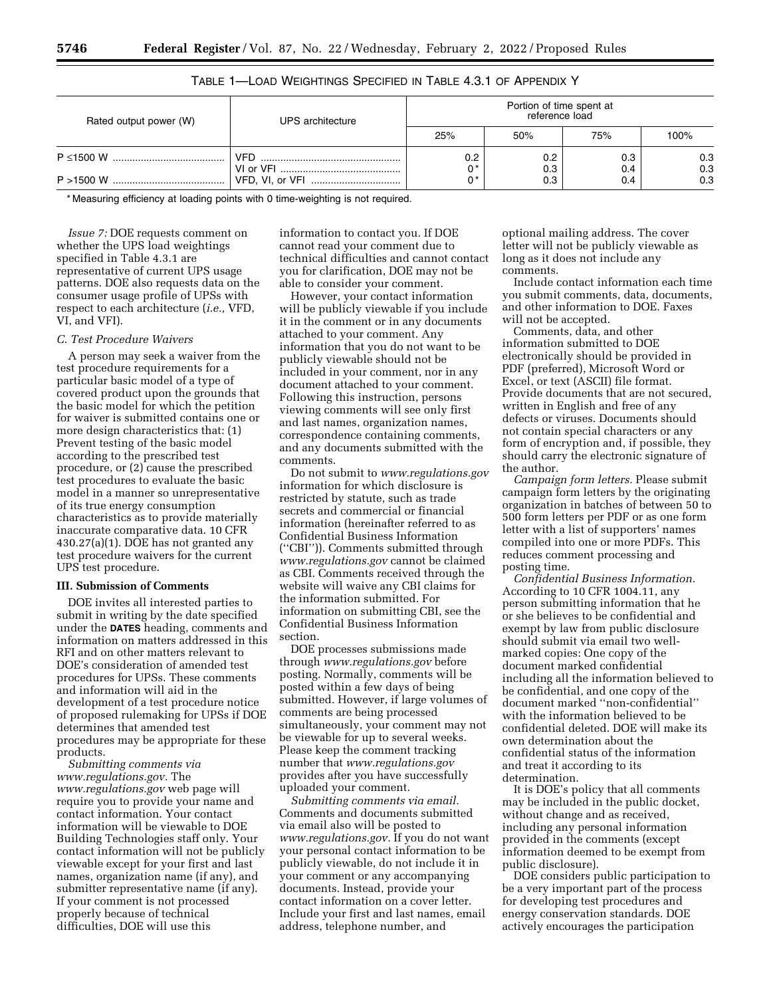| Rated output power (W) | UPS architecture | Portion of time spent at<br>reference load |            |            |            |
|------------------------|------------------|--------------------------------------------|------------|------------|------------|
|                        |                  | 25%                                        | 50%        | 75%        | 100%       |
|                        | VFD.             | 0.2<br>n *                                 | 0.2<br>0.3 | 0.3<br>0.4 | 0.3<br>0.3 |
|                        |                  | n *                                        | 0.3        | 0.4        | 0.3        |

TABLE 1—LOAD WEIGHTINGS SPECIFIED IN TABLE 4.3.1 OF APPENDIX Y

\* Measuring efficiency at loading points with 0 time-weighting is not required.

*Issue 7:* DOE requests comment on whether the UPS load weightings specified in Table 4.3.1 are representative of current UPS usage patterns. DOE also requests data on the consumer usage profile of UPSs with respect to each architecture (*i.e.,* VFD, VI, and VFI).

# *C. Test Procedure Waivers*

A person may seek a waiver from the test procedure requirements for a particular basic model of a type of covered product upon the grounds that the basic model for which the petition for waiver is submitted contains one or more design characteristics that: (1) Prevent testing of the basic model according to the prescribed test procedure, or (2) cause the prescribed test procedures to evaluate the basic model in a manner so unrepresentative of its true energy consumption characteristics as to provide materially inaccurate comparative data. 10 CFR 430.27(a)(1). DOE has not granted any test procedure waivers for the current UPS test procedure.

## **III. Submission of Comments**

DOE invites all interested parties to submit in writing by the date specified under the **DATES** heading, comments and information on matters addressed in this RFI and on other matters relevant to DOE's consideration of amended test procedures for UPSs. These comments and information will aid in the development of a test procedure notice of proposed rulemaking for UPSs if DOE determines that amended test procedures may be appropriate for these products.

*Submitting comments via [www.regulations.gov.](http://www.regulations.gov)* The *[www.regulations.gov](http://www.regulations.gov)* web page will require you to provide your name and contact information. Your contact information will be viewable to DOE Building Technologies staff only. Your contact information will not be publicly viewable except for your first and last names, organization name (if any), and submitter representative name (if any). If your comment is not processed properly because of technical difficulties, DOE will use this

information to contact you. If DOE cannot read your comment due to technical difficulties and cannot contact you for clarification, DOE may not be able to consider your comment.

However, your contact information will be publicly viewable if you include it in the comment or in any documents attached to your comment. Any information that you do not want to be publicly viewable should not be included in your comment, nor in any document attached to your comment. Following this instruction, persons viewing comments will see only first and last names, organization names, correspondence containing comments, and any documents submitted with the comments.

Do not submit to *[www.regulations.gov](http://www.regulations.gov)*  information for which disclosure is restricted by statute, such as trade secrets and commercial or financial information (hereinafter referred to as Confidential Business Information (''CBI'')). Comments submitted through *[www.regulations.gov](http://www.regulations.gov)* cannot be claimed as CBI. Comments received through the website will waive any CBI claims for the information submitted. For information on submitting CBI, see the Confidential Business Information section.

DOE processes submissions made through *[www.regulations.gov](http://www.regulations.gov)* before posting. Normally, comments will be posted within a few days of being submitted. However, if large volumes of comments are being processed simultaneously, your comment may not be viewable for up to several weeks. Please keep the comment tracking number that *[www.regulations.gov](http://www.regulations.gov)*  provides after you have successfully uploaded your comment.

*Submitting comments via email.*  Comments and documents submitted via email also will be posted to *[www.regulations.gov.](http://www.regulations.gov)* If you do not want your personal contact information to be publicly viewable, do not include it in your comment or any accompanying documents. Instead, provide your contact information on a cover letter. Include your first and last names, email address, telephone number, and

optional mailing address. The cover letter will not be publicly viewable as long as it does not include any comments.

Include contact information each time you submit comments, data, documents, and other information to DOE. Faxes will not be accepted.

Comments, data, and other information submitted to DOE electronically should be provided in PDF (preferred), Microsoft Word or Excel, or text (ASCII) file format. Provide documents that are not secured, written in English and free of any defects or viruses. Documents should not contain special characters or any form of encryption and, if possible, they should carry the electronic signature of the author.

*Campaign form letters.* Please submit campaign form letters by the originating organization in batches of between 50 to 500 form letters per PDF or as one form letter with a list of supporters' names compiled into one or more PDFs. This reduces comment processing and posting time.

*Confidential Business Information.*  According to 10 CFR 1004.11, any person submitting information that he or she believes to be confidential and exempt by law from public disclosure should submit via email two wellmarked copies: One copy of the document marked confidential including all the information believed to be confidential, and one copy of the document marked ''non-confidential'' with the information believed to be confidential deleted. DOE will make its own determination about the confidential status of the information and treat it according to its determination.

It is DOE's policy that all comments may be included in the public docket, without change and as received, including any personal information provided in the comments (except information deemed to be exempt from public disclosure).

DOE considers public participation to be a very important part of the process for developing test procedures and energy conservation standards. DOE actively encourages the participation